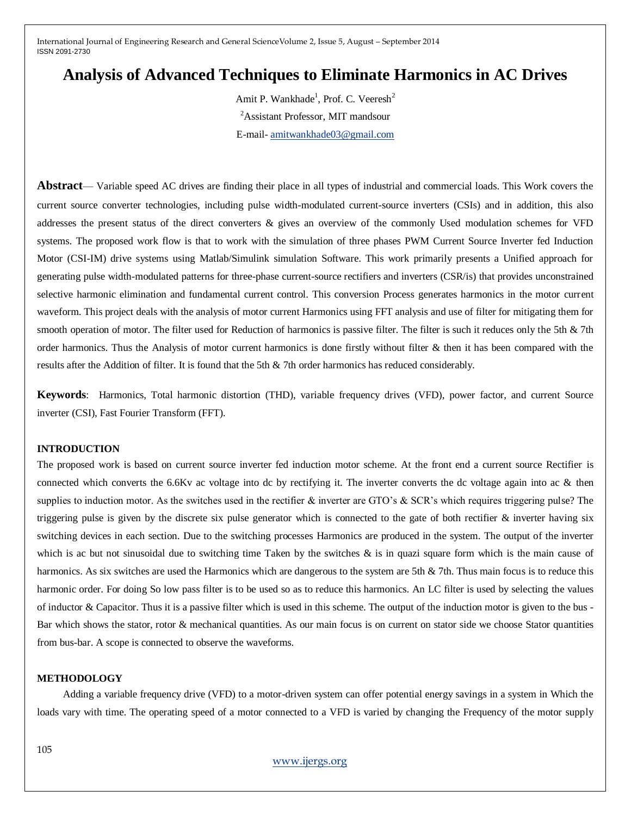# **Analysis of Advanced Techniques to Eliminate Harmonics in AC Drives**

Amit P. Wankhade<sup>1</sup>, Prof. C. Veeresh<sup>2</sup> <sup>2</sup>Assistant Professor, MIT mandsour E-mail- [amitwankhade03@gmail.com](mailto:amitwankhade03@gmail.com)

**Abstract**— Variable speed AC drives are finding their place in all types of industrial and commercial loads. This Work covers the current source converter technologies, including pulse width-modulated current-source inverters (CSIs) and in addition, this also addresses the present status of the direct converters & gives an overview of the commonly Used modulation schemes for VFD systems. The proposed work flow is that to work with the simulation of three phases PWM Current Source Inverter fed Induction Motor (CSI-IM) drive systems using Matlab/Simulink simulation Software. This work primarily presents a Unified approach for generating pulse width-modulated patterns for three-phase current-source rectifiers and inverters (CSR/is) that provides unconstrained selective harmonic elimination and fundamental current control. This conversion Process generates harmonics in the motor current waveform. This project deals with the analysis of motor current Harmonics using FFT analysis and use of filter for mitigating them for smooth operation of motor. The filter used for Reduction of harmonics is passive filter. The filter is such it reduces only the 5th & 7th order harmonics. Thus the Analysis of motor current harmonics is done firstly without filter & then it has been compared with the results after the Addition of filter. It is found that the 5th & 7th order harmonics has reduced considerably.

**Keywords**: Harmonics, Total harmonic distortion (THD), variable frequency drives (VFD), power factor, and current Source inverter (CSI), Fast Fourier Transform (FFT).

## **INTRODUCTION**

The proposed work is based on current source inverter fed induction motor scheme. At the front end a current source Rectifier is connected which converts the 6.6Kv ac voltage into dc by rectifying it. The inverter converts the dc voltage again into ac & then supplies to induction motor. As the switches used in the rectifier  $\&$  inverter are GTO's  $\&$  SCR's which requires triggering pulse? The triggering pulse is given by the discrete six pulse generator which is connected to the gate of both rectifier & inverter having six switching devices in each section. Due to the switching processes Harmonics are produced in the system. The output of the inverter which is ac but not sinusoidal due to switching time Taken by the switches  $\&$  is in quazi square form which is the main cause of harmonics. As six switches are used the Harmonics which are dangerous to the system are 5th & 7th. Thus main focus is to reduce this harmonic order. For doing So low pass filter is to be used so as to reduce this harmonics. An LC filter is used by selecting the values of inductor & Capacitor. Thus it is a passive filter which is used in this scheme. The output of the induction motor is given to the bus - Bar which shows the stator, rotor & mechanical quantities. As our main focus is on current on stator side we choose Stator quantities from bus-bar. A scope is connected to observe the waveforms.

### **METHODOLOGY**

 Adding a variable frequency drive (VFD) to a motor-driven system can offer potential energy savings in a system in Which the loads vary with time. The operating speed of a motor connected to a VFD is varied by changing the Frequency of the motor supply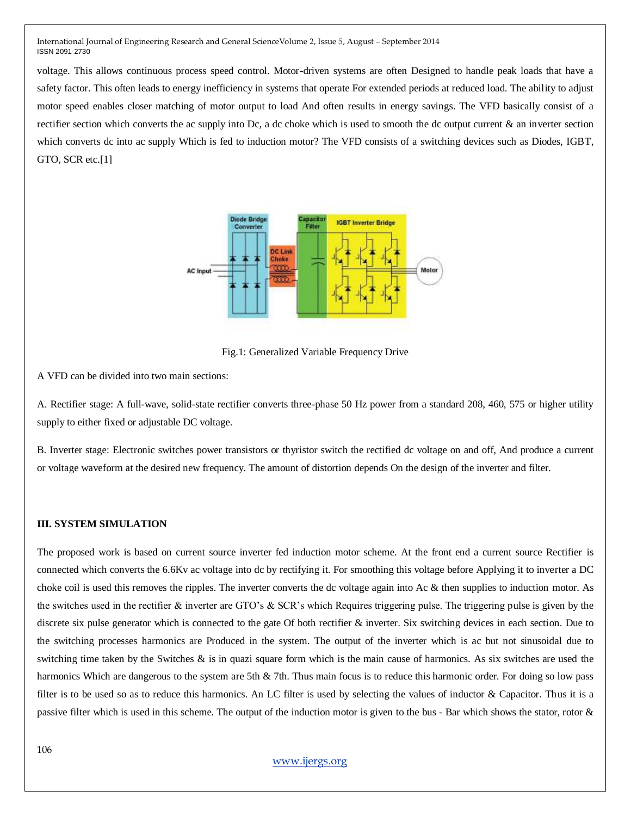voltage. This allows continuous process speed control. Motor-driven systems are often Designed to handle peak loads that have a safety factor. This often leads to energy inefficiency in systems that operate For extended periods at reduced load. The ability to adjust motor speed enables closer matching of motor output to load And often results in energy savings. The VFD basically consist of a rectifier section which converts the ac supply into Dc, a dc choke which is used to smooth the dc output current  $\&$  an inverter section which converts dc into ac supply Which is fed to induction motor? The VFD consists of a switching devices such as Diodes, IGBT, GTO, SCR etc.[1]



Fig.1: Generalized Variable Frequency Drive

A VFD can be divided into two main sections:

A. Rectifier stage: A full-wave, solid-state rectifier converts three-phase 50 Hz power from a standard 208, 460, 575 or higher utility supply to either fixed or adjustable DC voltage.

B. Inverter stage: Electronic switches power transistors or thyristor switch the rectified dc voltage on and off, And produce a current or voltage waveform at the desired new frequency. The amount of distortion depends On the design of the inverter and filter.

## **III. SYSTEM SIMULATION**

The proposed work is based on current source inverter fed induction motor scheme. At the front end a current source Rectifier is connected which converts the 6.6Kv ac voltage into dc by rectifying it. For smoothing this voltage before Applying it to inverter a DC choke coil is used this removes the ripples. The inverter converts the dc voltage again into Ac & then supplies to induction motor. As the switches used in the rectifier & inverter are GTO's & SCR's which Requires triggering pulse. The triggering pulse is given by the discrete six pulse generator which is connected to the gate Of both rectifier & inverter. Six switching devices in each section. Due to the switching processes harmonics are Produced in the system. The output of the inverter which is ac but not sinusoidal due to switching time taken by the Switches  $\&$  is in quazi square form which is the main cause of harmonics. As six switches are used the harmonics Which are dangerous to the system are 5th & 7th. Thus main focus is to reduce this harmonic order. For doing so low pass filter is to be used so as to reduce this harmonics. An LC filter is used by selecting the values of inductor & Capacitor. Thus it is a passive filter which is used in this scheme. The output of the induction motor is given to the bus - Bar which shows the stator, rotor &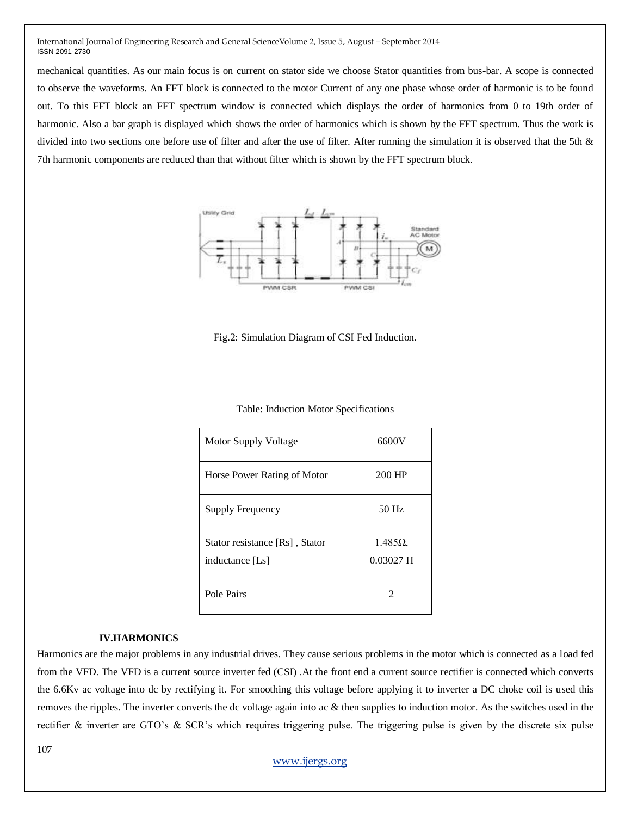mechanical quantities. As our main focus is on current on stator side we choose Stator quantities from bus-bar. A scope is connected to observe the waveforms. An FFT block is connected to the motor Current of any one phase whose order of harmonic is to be found out. To this FFT block an FFT spectrum window is connected which displays the order of harmonics from 0 to 19th order of harmonic. Also a bar graph is displayed which shows the order of harmonics which is shown by the FFT spectrum. Thus the work is divided into two sections one before use of filter and after the use of filter. After running the simulation it is observed that the 5th & 7th harmonic components are reduced than that without filter which is shown by the FFT spectrum block.



Fig.2: Simulation Diagram of CSI Fed Induction.

| Motor Supply Voltage                              | 6600V                        |  |
|---------------------------------------------------|------------------------------|--|
| Horse Power Rating of Motor                       | 200 HP                       |  |
| <b>Supply Frequency</b>                           | $50$ Hz                      |  |
| Stator resistance [Rs], Stator<br>inductance [Ls] | $1.485\Omega$<br>$0.03027$ H |  |
| Pole Pairs                                        | 2                            |  |

# **IV.HARMONICS**

Harmonics are the major problems in any industrial drives. They cause serious problems in the motor which is connected as a load fed from the VFD. The VFD is a current source inverter fed (CSI) .At the front end a current source rectifier is connected which converts the 6.6Kv ac voltage into dc by rectifying it. For smoothing this voltage before applying it to inverter a DC choke coil is used this removes the ripples. The inverter converts the dc voltage again into ac & then supplies to induction motor. As the switches used in the rectifier & inverter are GTO's & SCR's which requires triggering pulse. The triggering pulse is given by the discrete six pulse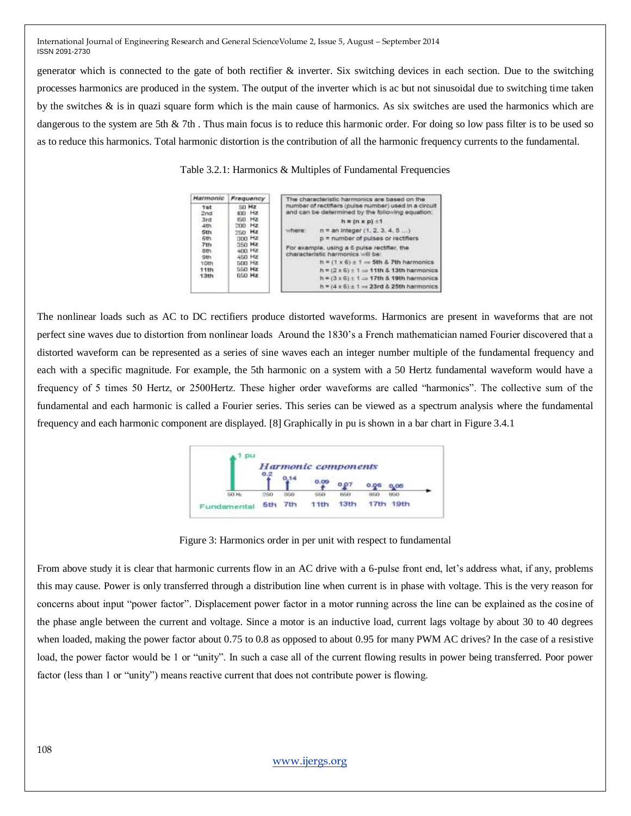generator which is connected to the gate of both rectifier & inverter. Six switching devices in each section. Due to the switching processes harmonics are produced in the system. The output of the inverter which is ac but not sinusoidal due to switching time taken by the switches & is in quazi square form which is the main cause of harmonics. As six switches are used the harmonics which are dangerous to the system are 5th & 7th. Thus main focus is to reduce this harmonic order. For doing so low pass filter is to be used so as to reduce this harmonics. Total harmonic distortion is the contribution of all the harmonic frequency currents to the fundamental.

Table 3.2.1: Harmonics & Multiples of Fundamental Frequencies

| Harmonic                 | Frequency                                                   | The characteristic harmonics are based on the<br>number of rectifiers (pulse number) used in a circuit<br>and can be determined by the following equation: |  |
|--------------------------|-------------------------------------------------------------|------------------------------------------------------------------------------------------------------------------------------------------------------------|--|
| <sub>1st</sub><br>2nd    | 50 Hz<br>100 Hz                                             |                                                                                                                                                            |  |
| 3rd                      | <b>150 Hz</b><br>$200$ Hz                                   | $h = (n \times p) \pm 1$                                                                                                                                   |  |
| 4th<br><b>Sth</b><br>6th | 250 Hz<br>$300$ Hz                                          | $n = an integer (1, 2, 3, 4, 5)$<br>hero:<br>$p =$ number of pulses or rectifiers<br>For example, using a 6 pulse rectifier, the                           |  |
| 713                      | $350$ Hz                                                    |                                                                                                                                                            |  |
| Bth.<br>901              | 400 Hz<br>450 Hz                                            | characteristic harmonics will be:                                                                                                                          |  |
| 10th<br>11th             | <b>500 Hz</b><br>S50 Hz                                     | $h = (1 \times 6) \pm 1 = 5$ th & 7th harmonics<br>$h = (2 \times 6) + 1 \Rightarrow 11th \& 13th harmonics$                                               |  |
| 650 Hz<br>13th           |                                                             | $h = (3 \times 6) + 1 \implies 17th \& 19th$ harmonics                                                                                                     |  |
|                          | $h = (4 \times 6) \pm 1 \Rightarrow 23rd \& 25th$ harmonics |                                                                                                                                                            |  |

The nonlinear loads such as AC to DC rectifiers produce distorted waveforms. Harmonics are present in waveforms that are not perfect sine waves due to distortion from nonlinear loads Around the 1830's a French mathematician named Fourier discovered that a distorted waveform can be represented as a series of sine waves each an integer number multiple of the fundamental frequency and each with a specific magnitude. For example, the 5th harmonic on a system with a 50 Hertz fundamental waveform would have a frequency of 5 times 50 Hertz, or 2500Hertz. These higher order waveforms are called "harmonics". The collective sum of the fundamental and each harmonic is called a Fourier series. This series can be viewed as a spectrum analysis where the fundamental frequency and each harmonic component are displayed. [8] Graphically in pu is shown in a bar chart in Figure 3.4.1



Figure 3: Harmonics order in per unit with respect to fundamental

From above study it is clear that harmonic currents flow in an AC drive with a 6-pulse front end, let's address what, if any, problems this may cause. Power is only transferred through a distribution line when current is in phase with voltage. This is the very reason for concerns about input "power factor". Displacement power factor in a motor running across the line can be explained as the cosine of the phase angle between the current and voltage. Since a motor is an inductive load, current lags voltage by about 30 to 40 degrees when loaded, making the power factor about 0.75 to 0.8 as opposed to about 0.95 for many PWM AC drives? In the case of a resistive load, the power factor would be 1 or "unity". In such a case all of the current flowing results in power being transferred. Poor power factor (less than 1 or "unity") means reactive current that does not contribute power is flowing.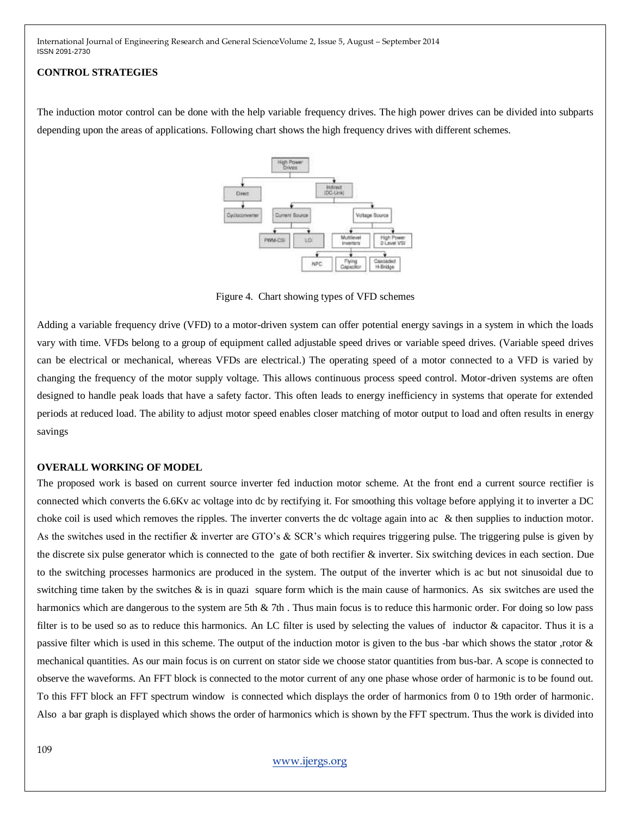#### **CONTROL STRATEGIES**

The induction motor control can be done with the help variable frequency drives. The high power drives can be divided into subparts depending upon the areas of applications. Following chart shows the high frequency drives with different schemes.



Figure 4. Chart showing types of VFD schemes

Adding a variable frequency drive (VFD) to a motor-driven system can offer potential energy savings in a system in which the loads vary with time. VFDs belong to a group of equipment called adjustable speed drives or variable speed drives. (Variable speed drives can be electrical or mechanical, whereas VFDs are electrical.) The operating speed of a motor connected to a VFD is varied by changing the frequency of the motor supply voltage. This allows continuous process speed control. Motor-driven systems are often designed to handle peak loads that have a safety factor. This often leads to energy inefficiency in systems that operate for extended periods at reduced load. The ability to adjust motor speed enables closer matching of motor output to load and often results in energy savings

## **OVERALL WORKING OF MODEL**

The proposed work is based on current source inverter fed induction motor scheme. At the front end a current source rectifier is connected which converts the 6.6Kv ac voltage into dc by rectifying it. For smoothing this voltage before applying it to inverter a DC choke coil is used which removes the ripples. The inverter converts the dc voltage again into ac & then supplies to induction motor. As the switches used in the rectifier & inverter are GTO's & SCR's which requires triggering pulse. The triggering pulse is given by the discrete six pulse generator which is connected to the gate of both rectifier & inverter. Six switching devices in each section. Due to the switching processes harmonics are produced in the system. The output of the inverter which is ac but not sinusoidal due to switching time taken by the switches  $\&$  is in quazi square form which is the main cause of harmonics. As six switches are used the harmonics which are dangerous to the system are 5th & 7th. Thus main focus is to reduce this harmonic order. For doing so low pass filter is to be used so as to reduce this harmonics. An LC filter is used by selecting the values of inductor & capacitor. Thus it is a passive filter which is used in this scheme. The output of the induction motor is given to the bus -bar which shows the stator ,rotor & mechanical quantities. As our main focus is on current on stator side we choose stator quantities from bus-bar. A scope is connected to observe the waveforms. An FFT block is connected to the motor current of any one phase whose order of harmonic is to be found out. To this FFT block an FFT spectrum window is connected which displays the order of harmonics from 0 to 19th order of harmonic. Also a bar graph is displayed which shows the order of harmonics which is shown by the FFT spectrum. Thus the work is divided into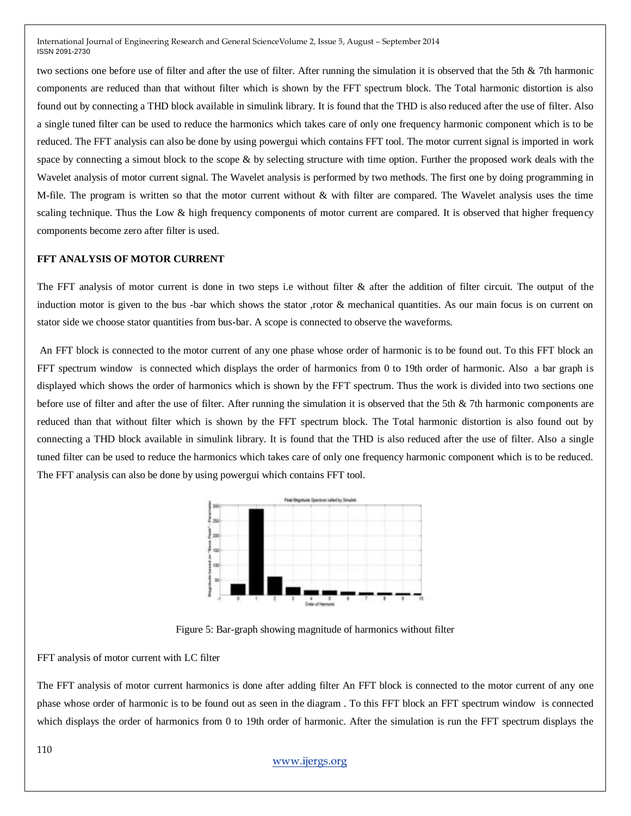two sections one before use of filter and after the use of filter. After running the simulation it is observed that the 5th & 7th harmonic components are reduced than that without filter which is shown by the FFT spectrum block. The Total harmonic distortion is also found out by connecting a THD block available in simulink library. It is found that the THD is also reduced after the use of filter. Also a single tuned filter can be used to reduce the harmonics which takes care of only one frequency harmonic component which is to be reduced. The FFT analysis can also be done by using powergui which contains FFT tool. The motor current signal is imported in work space by connecting a simout block to the scope  $\&$  by selecting structure with time option. Further the proposed work deals with the Wavelet analysis of motor current signal. The Wavelet analysis is performed by two methods. The first one by doing programming in M-file. The program is written so that the motor current without & with filter are compared. The Wavelet analysis uses the time scaling technique. Thus the Low & high frequency components of motor current are compared. It is observed that higher frequency components become zero after filter is used.

## **FFT ANALYSIS OF MOTOR CURRENT**

The FFT analysis of motor current is done in two steps i.e without filter  $\&$  after the addition of filter circuit. The output of the induction motor is given to the bus -bar which shows the stator ,rotor & mechanical quantities. As our main focus is on current on stator side we choose stator quantities from bus-bar. A scope is connected to observe the waveforms.

An FFT block is connected to the motor current of any one phase whose order of harmonic is to be found out. To this FFT block an FFT spectrum window is connected which displays the order of harmonics from 0 to 19th order of harmonic. Also a bar graph is displayed which shows the order of harmonics which is shown by the FFT spectrum. Thus the work is divided into two sections one before use of filter and after the use of filter. After running the simulation it is observed that the 5th & 7th harmonic components are reduced than that without filter which is shown by the FFT spectrum block. The Total harmonic distortion is also found out by connecting a THD block available in simulink library. It is found that the THD is also reduced after the use of filter. Also a single tuned filter can be used to reduce the harmonics which takes care of only one frequency harmonic component which is to be reduced. The FFT analysis can also be done by using powergui which contains FFT tool.



Figure 5: Bar-graph showing magnitude of harmonics without filter

## FFT analysis of motor current with LC filter

The FFT analysis of motor current harmonics is done after adding filter An FFT block is connected to the motor current of any one phase whose order of harmonic is to be found out as seen in the diagram . To this FFT block an FFT spectrum window is connected which displays the order of harmonics from 0 to 19th order of harmonic. After the simulation is run the FFT spectrum displays the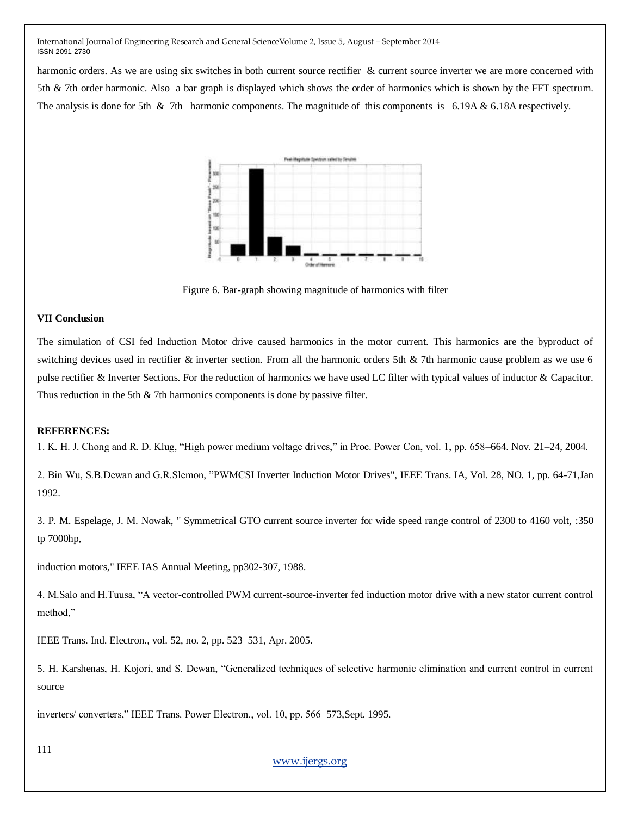harmonic orders. As we are using six switches in both current source rectifier & current source inverter we are more concerned with 5th & 7th order harmonic. Also a bar graph is displayed which shows the order of harmonics which is shown by the FFT spectrum. The analysis is done for 5th  $\&$  7th harmonic components. The magnitude of this components is 6.19A  $\&$  6.18A respectively.



Figure 6. Bar-graph showing magnitude of harmonics with filter

# **VII Conclusion**

The simulation of CSI fed Induction Motor drive caused harmonics in the motor current. This harmonics are the byproduct of switching devices used in rectifier & inverter section. From all the harmonic orders 5th & 7th harmonic cause problem as we use 6 pulse rectifier & Inverter Sections. For the reduction of harmonics we have used LC filter with typical values of inductor & Capacitor. Thus reduction in the 5th & 7th harmonics components is done by passive filter.

# **REFERENCES:**

1. K. H. J. Chong and R. D. Klug, "High power medium voltage drives," in Proc. Power Con, vol. 1, pp. 658–664. Nov. 21–24, 2004.

2. Bin Wu, S.B.Dewan and G.R.Slemon, "PWMCSI Inverter Induction Motor Drives", IEEE Trans. IA, Vol. 28, NO. 1, pp. 64-71, Jan 1992.

3. P. M. Espelage, J. M. Nowak, " Symmetrical GTO current source inverter for wide speed range control of 2300 to 4160 volt, :350 tp 7000hp,

induction motors," IEEE IAS Annual Meeting, pp302-307, 1988.

4. M.Salo and H.Tuusa, "A vector-controlled PWM current-source-inverter fed induction motor drive with a new stator current control method,"

IEEE Trans. Ind. Electron., vol. 52, no. 2, pp. 523–531, Apr. 2005.

5. H. Karshenas, H. Kojori, and S. Dewan, "Generalized techniques of selective harmonic elimination and current control in current source

inverters/ converters," IEEE Trans. Power Electron., vol. 10, pp. 566–573, Sept. 1995.

111

# [www.ijergs.org](http://www.ijergs.org/)